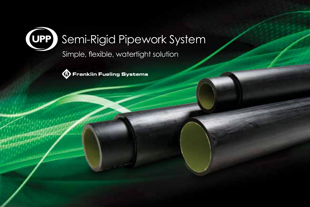

# Semi-Rigid Pipework System

Simple, flexible, watertight solution



**R** Franklin Fueling Systems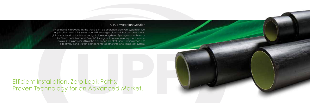Since being introduced as the world's first electrofusion pipework system for fuel applications over thirty years ago, UPP semi-rigid pipework has become known globally as the standard for watertight pipework systems. Synonymous with words like "fast", "efficient" and "simple" throughout petroleum equipment installer circles, UPP pipework utilizes the advanced electrofusion welding process to effectively bond system components together into one, leakproof system.

## Efficient Installation. Zero Leak Paths. Proven Technology for an Advanced Market.



#### A True Watertight Solution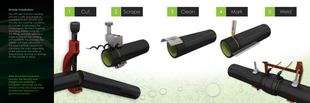#### Simple Installation

The UPP electrofusion welding process is safe and simple to complete in any climate and virtually any weather condition. An installer simply preps the components, fits them together attaching welder leads to the fitting, and then presses a single button on the welding unit to initiate the process. The welder unit itself calculates the exact settings required to complete the weld, regardless of the pipework diameter or temperature, leaving no settings for the installer to input.

After this simple installation process, the security and integrity of a watertight installation will remain for the lifetime of the site and provide unmatched resistance to ground movement.

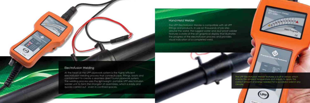At the heart of the UPP pipework system is the highly efficient electrofusion welding process that connects pipe, fittings, boots and containment to create a seamless direct burial pipework system. The welding process uses the lightweight, portable UPP electrofusion welder unit to form the strongest of assemblies, which is easily and quickly carried out - even in confined spaces.



## Electrofusion Welding

The UPP Electrofusion Welder is compatible with all UPP fittings and products. In use on thousands of job sites around the world, the rugged water and dust proof welder features a state-of-the-art graphical display that illustrates the progress of the electrofusion process and provides visual indication of a completed weld.



#### Hand-Held Welder

The UPP Electrofusion Welder features a built-in sensor, which checks the ambient temperature and adjusts to apply the correct amount of energy needed for a successful weld in any climate.

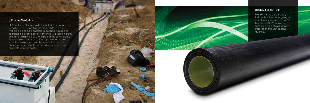UPP double wall semi-rigid pipe is flexible enough to coil and bend like flexible pipe, while UPP single wall pipe is also rigid enough to be used in place of fiberglass pipe for vapor or vent lines. Available in both coils and straight sticks, UPP pipe can accommodate the sweeping bends of a "loop" pipework system while the straight sticks make installation between dispenser sumps simple by providing a square pipe entry into containment.

### Ready For Retrofit

#### Ultimate Flexibility

UPP semi-rigid pipe is easily installed at sites undergoing a retrofit of existing pipework. The flexibility of UPP double wall semi-rigid pipe allows for easy installation through existing ducting.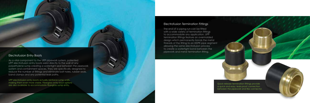The end of a piping run can be fitted with a wide variety of termination fittings to accommodate any application. UPP termination fittings feature an overmolded design which permanently bonds the metal threads of the fitting to an HDPE pipe segment allowing the same electrofusion process to create a watertight bond between the pipework and metal termination fitting.

#### Electrofusion Termination Fittings

As a vital component to the UPP pipework system, patented UPP electrofusion entry boots weld directly to the wall of any polyethylene sump creating a watertight seal between the pipework system and containment spaces. They are specifically designed to reduce the number of fittings and eliminate bolt holes, rubber seals, band clamps and any potential leak paths.

UPP electrofusion entry boots actually reinforce sump walls, making them even more stable. Fiberglass entry boot options are also available to accommodate fiberglass sump entry.

#### Electrofusion Entry Boots

Quick release termination fittings provide a quick and easy, leak-proof connection between the pipework and flex connector.